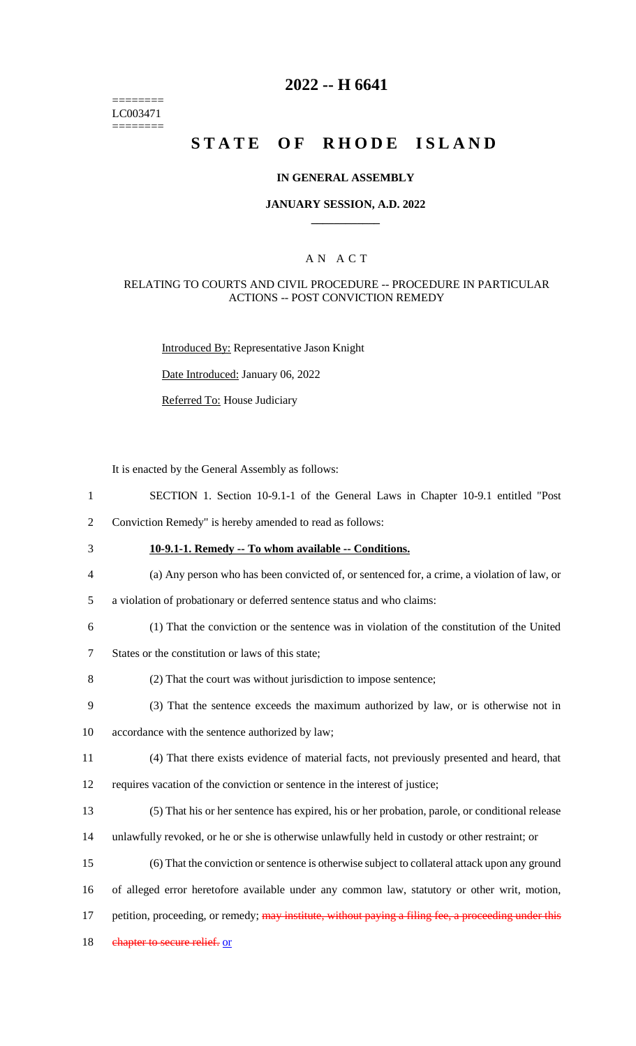======== LC003471 ========

# **2022 -- H 6641**

# **STATE OF RHODE ISLAND**

#### **IN GENERAL ASSEMBLY**

#### **JANUARY SESSION, A.D. 2022 \_\_\_\_\_\_\_\_\_\_\_\_**

### A N A C T

#### RELATING TO COURTS AND CIVIL PROCEDURE -- PROCEDURE IN PARTICULAR ACTIONS -- POST CONVICTION REMEDY

Introduced By: Representative Jason Knight

Date Introduced: January 06, 2022

Referred To: House Judiciary

It is enacted by the General Assembly as follows:

- 1 SECTION 1. Section 10-9.1-1 of the General Laws in Chapter 10-9.1 entitled "Post
- 2 Conviction Remedy" is hereby amended to read as follows:
- 
- 3 **10-9.1-1. Remedy -- To whom available -- Conditions.**
- 4 (a) Any person who has been convicted of, or sentenced for, a crime, a violation of law, or
- 5 a violation of probationary or deferred sentence status and who claims:
- 6 (1) That the conviction or the sentence was in violation of the constitution of the United
- 7 States or the constitution or laws of this state;
- 8 (2) That the court was without jurisdiction to impose sentence;
- 9 (3) That the sentence exceeds the maximum authorized by law, or is otherwise not in
- 10 accordance with the sentence authorized by law;
- 11 (4) That there exists evidence of material facts, not previously presented and heard, that
- 12 requires vacation of the conviction or sentence in the interest of justice;
- 13 (5) That his or her sentence has expired, his or her probation, parole, or conditional release
- 14 unlawfully revoked, or he or she is otherwise unlawfully held in custody or other restraint; or
- 15 (6) That the conviction or sentence is otherwise subject to collateral attack upon any ground
- 16 of alleged error heretofore available under any common law, statutory or other writ, motion,
- 17 petition, proceeding, or remedy; may institute, without paying a filing fee, a proceeding under this
- 18 chapter to secure relief. or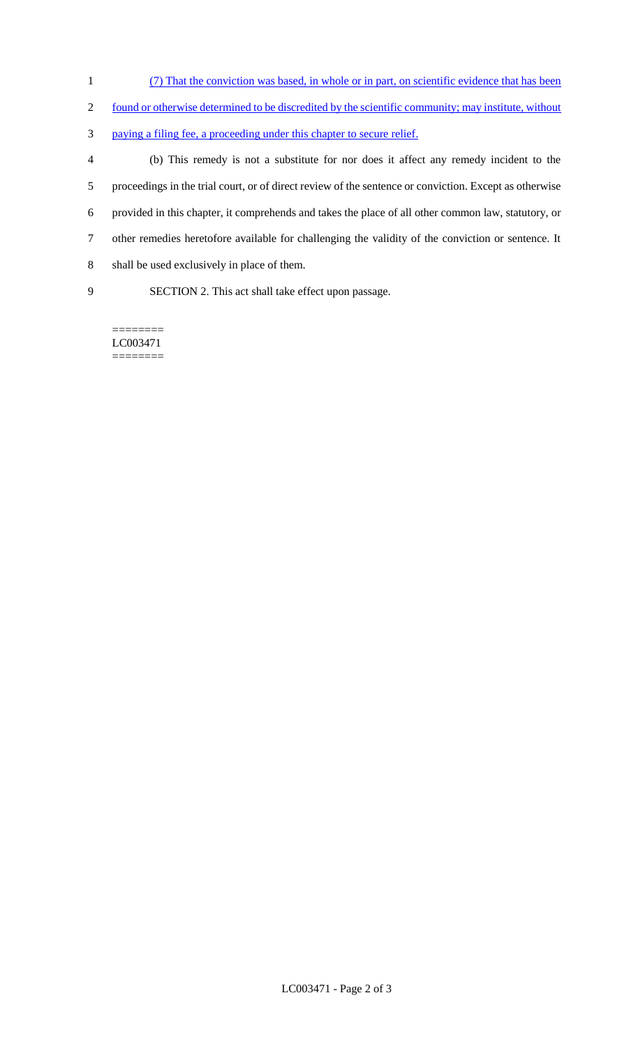- (7) That the conviction was based, in whole or in part, on scientific evidence that has been
- 2 found or otherwise determined to be discredited by the scientific community; may institute, without
- paying a filing fee, a proceeding under this chapter to secure relief.

 (b) This remedy is not a substitute for nor does it affect any remedy incident to the proceedings in the trial court, or of direct review of the sentence or conviction. Except as otherwise provided in this chapter, it comprehends and takes the place of all other common law, statutory, or other remedies heretofore available for challenging the validity of the conviction or sentence. It shall be used exclusively in place of them.

SECTION 2. This act shall take effect upon passage.

LC003471 ========

========